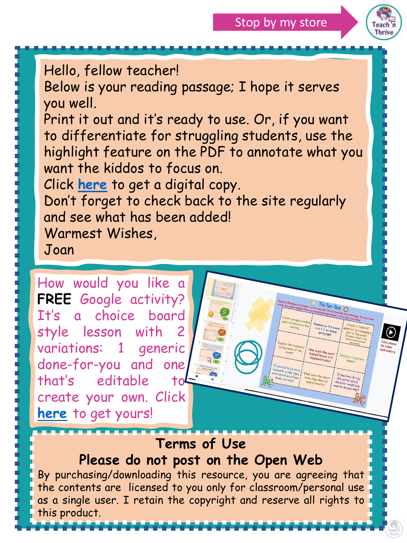

Hello, fellow teacher! Below is your reading passage; I hope it serves you well. Print it out and it's ready to use. Or, if you want to differentiate for struggling students, use the highlight feature on the PDF to annotate what you want the kiddos to focus on. Click **[here](https://docs.google.com/presentation/d/1LGWr7B4KagTB5aTCrPas2b9H0qx67LV9jKk5nwgy8sY/copy)** to get a digital copy. Don't forget to check back to the site regularly and see what has been added! Warmest Wishes, Joan

How would you like a **FREE** Google activity? It's a choice board style lesson with 2 variations: 1 generic done-for-you and one that's editable create your own. Click **[here](https://teachnthrive.ck.page/d1d116412c)** to get yours!

## **Terms of Use**

### **Please do not post on the Open Web**

By purchasing/downloading this resource, you are agreeing that the contents are licensed to you only for classroom/personal use as a single user. I retain the copyright and reserve all rights to this product.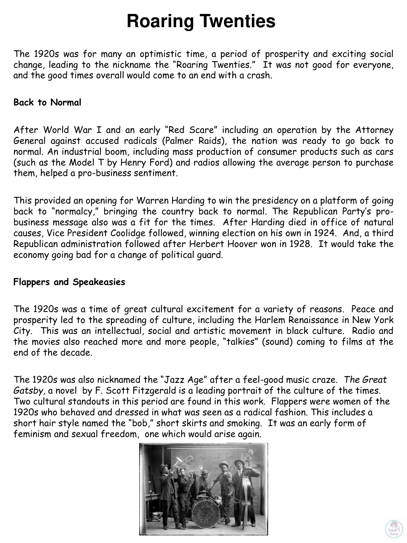# **Roaring Twenties**

The 1920s was for many an optimistic time, a period of prosperity and exciting social change, leading to the nickname the "Roaring Twenties." It was not good for everyone, and the good times overall would come to an end with a crash.

#### **Back to Normal**

After World War I and an early "Red Scare" including an operation by the Attorney General against accused radicals (Palmer Raids), the nation was ready to go back to normal. An industrial boom, including mass production of consumer products such as cars (such as the Model T by Henry Ford) and radios allowing the average person to purchase them, helped a pro-business sentiment.

This provided an opening for Warren Harding to win the presidency on a platform of going back to "normalcy," bringing the country back to normal. The Republican Party's probusiness message also was a fit for the times. After Harding died in office of natural causes, Vice President Coolidge followed, winning election on his own in 1924. And, a third Republican administration followed after Herbert Hoover won in 1928. It would take the economy going bad for a change of political guard.

#### **Flappers and Speakeasies**

The 1920s was a time of great cultural excitement for a variety of reasons. Peace and prosperity led to the spreading of culture, including the Harlem Renaissance in New York City. This was an intellectual, social and artistic movement in black culture. Radio and the movies also reached more and more people, "talkies" (sound) coming to films at the end of the decade.

The 1920s was also nicknamed the "Jazz Age" after a feel-good music craze. *The Great Gatsby,* a novel by F. Scott Fitzgerald is a leading portrait of the culture of the times. Two cultural standouts in this period are found in this work. Flappers were women of the 1920s who behaved and dressed in what was seen as a radical fashion. This includes a short hair style named the "bob," short skirts and smoking. It was an early form of feminism and sexual freedom, one which would arise again.